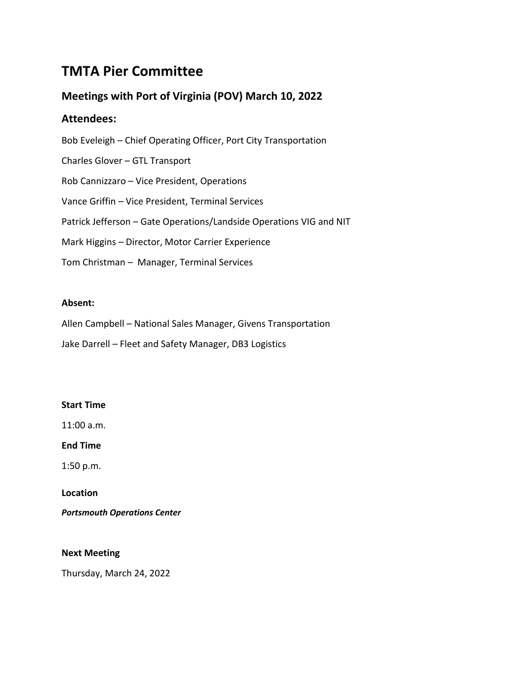# **TMTA Pier Committee**

# **Meetings with Port of Virginia (POV) March 10, 2022**

# **Attendees:**

Bob Eveleigh – Chief Operating Officer, Port City Transportation Charles Glover – GTL Transport Rob Cannizzaro – Vice President, Operations Vance Griffin – Vice President, Terminal Services Patrick Jefferson – Gate Operations/Landside Operations VIG and NIT Mark Higgins – Director, Motor Carrier Experience Tom Christman – Manager, Terminal Services

## **Absent:**

Allen Campbell – National Sales Manager, Givens Transportation

Jake Darrell – Fleet and Safety Manager, DB3 Logistics

### **Start Time**

11:00 a.m.

**End Time**

1:50 p.m.

**Location**

*Portsmouth Operations Center*

**Next Meeting**

Thursday, March 24, 2022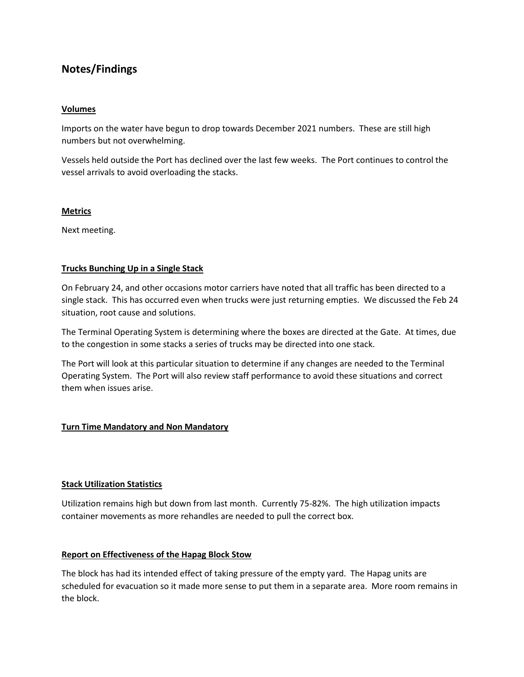# **Notes/Findings**

#### **Volumes**

Imports on the water have begun to drop towards December 2021 numbers. These are still high numbers but not overwhelming.

Vessels held outside the Port has declined over the last few weeks. The Port continues to control the vessel arrivals to avoid overloading the stacks.

#### **Metrics**

Next meeting.

#### **Trucks Bunching Up in a Single Stack**

On February 24, and other occasions motor carriers have noted that all traffic has been directed to a single stack. This has occurred even when trucks were just returning empties. We discussed the Feb 24 situation, root cause and solutions.

The Terminal Operating System is determining where the boxes are directed at the Gate. At times, due to the congestion in some stacks a series of trucks may be directed into one stack.

The Port will look at this particular situation to determine if any changes are needed to the Terminal Operating System. The Port will also review staff performance to avoid these situations and correct them when issues arise.

#### **Turn Time Mandatory and Non Mandatory**

#### **Stack Utilization Statistics**

Utilization remains high but down from last month. Currently 75-82%. The high utilization impacts container movements as more rehandles are needed to pull the correct box.

#### **Report on Effectiveness of the Hapag Block Stow**

The block has had its intended effect of taking pressure of the empty yard. The Hapag units are scheduled for evacuation so it made more sense to put them in a separate area. More room remains in the block.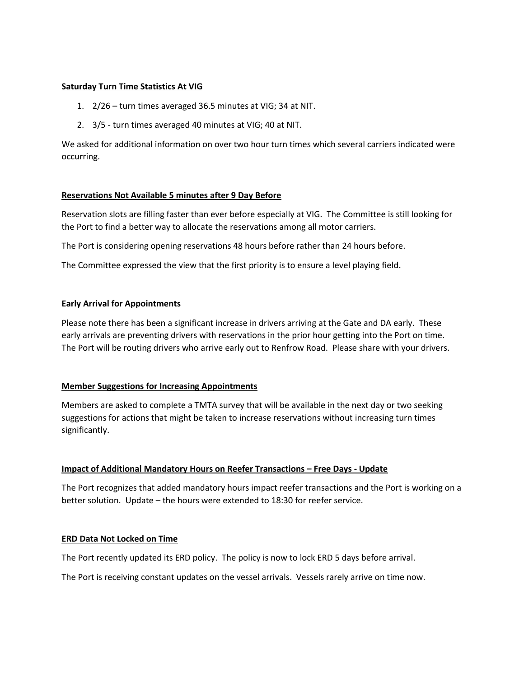#### **Saturday Turn Time Statistics At VIG**

- 1. 2/26 turn times averaged 36.5 minutes at VIG; 34 at NIT.
- 2. 3/5 turn times averaged 40 minutes at VIG; 40 at NIT.

We asked for additional information on over two hour turn times which several carriers indicated were occurring.

#### **Reservations Not Available 5 minutes after 9 Day Before**

Reservation slots are filling faster than ever before especially at VIG. The Committee is still looking for the Port to find a better way to allocate the reservations among all motor carriers.

The Port is considering opening reservations 48 hours before rather than 24 hours before.

The Committee expressed the view that the first priority is to ensure a level playing field.

#### **Early Arrival for Appointments**

Please note there has been a significant increase in drivers arriving at the Gate and DA early. These early arrivals are preventing drivers with reservations in the prior hour getting into the Port on time. The Port will be routing drivers who arrive early out to Renfrow Road. Please share with your drivers.

#### **Member Suggestions for Increasing Appointments**

Members are asked to complete a TMTA survey that will be available in the next day or two seeking suggestions for actions that might be taken to increase reservations without increasing turn times significantly.

#### **Impact of Additional Mandatory Hours on Reefer Transactions – Free Days - Update**

The Port recognizes that added mandatory hours impact reefer transactions and the Port is working on a better solution. Update – the hours were extended to 18:30 for reefer service.

#### **ERD Data Not Locked on Time**

The Port recently updated its ERD policy. The policy is now to lock ERD 5 days before arrival.

The Port is receiving constant updates on the vessel arrivals. Vessels rarely arrive on time now.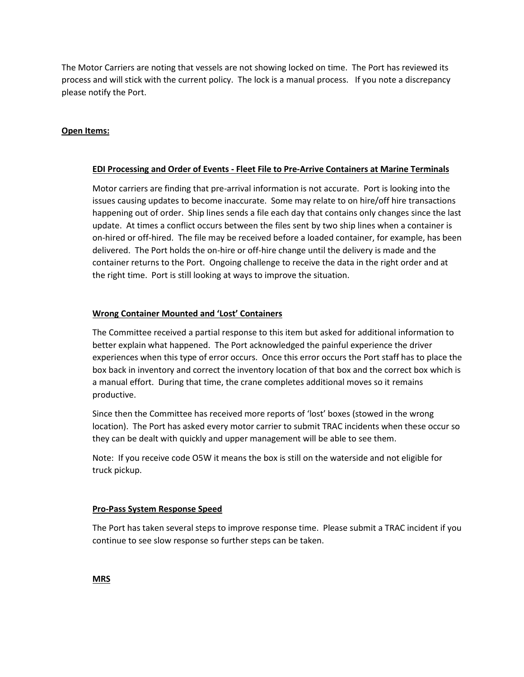The Motor Carriers are noting that vessels are not showing locked on time. The Port has reviewed its process and will stick with the current policy. The lock is a manual process. If you note a discrepancy please notify the Port.

### **Open Items:**

#### **EDI Processing and Order of Events - Fleet File to Pre-Arrive Containers at Marine Terminals**

Motor carriers are finding that pre-arrival information is not accurate. Port is looking into the issues causing updates to become inaccurate. Some may relate to on hire/off hire transactions happening out of order. Ship lines sends a file each day that contains only changes since the last update. At times a conflict occurs between the files sent by two ship lines when a container is on-hired or off-hired. The file may be received before a loaded container, for example, has been delivered. The Port holds the on-hire or off-hire change until the delivery is made and the container returns to the Port. Ongoing challenge to receive the data in the right order and at the right time. Port is still looking at ways to improve the situation.

#### **Wrong Container Mounted and 'Lost' Containers**

The Committee received a partial response to this item but asked for additional information to better explain what happened. The Port acknowledged the painful experience the driver experiences when this type of error occurs. Once this error occurs the Port staff has to place the box back in inventory and correct the inventory location of that box and the correct box which is a manual effort. During that time, the crane completes additional moves so it remains productive.

Since then the Committee has received more reports of 'lost' boxes (stowed in the wrong location). The Port has asked every motor carrier to submit TRAC incidents when these occur so they can be dealt with quickly and upper management will be able to see them.

Note: If you receive code O5W it means the box is still on the waterside and not eligible for truck pickup.

#### **Pro-Pass System Response Speed**

The Port has taken several steps to improve response time. Please submit a TRAC incident if you continue to see slow response so further steps can be taken.

**MRS**